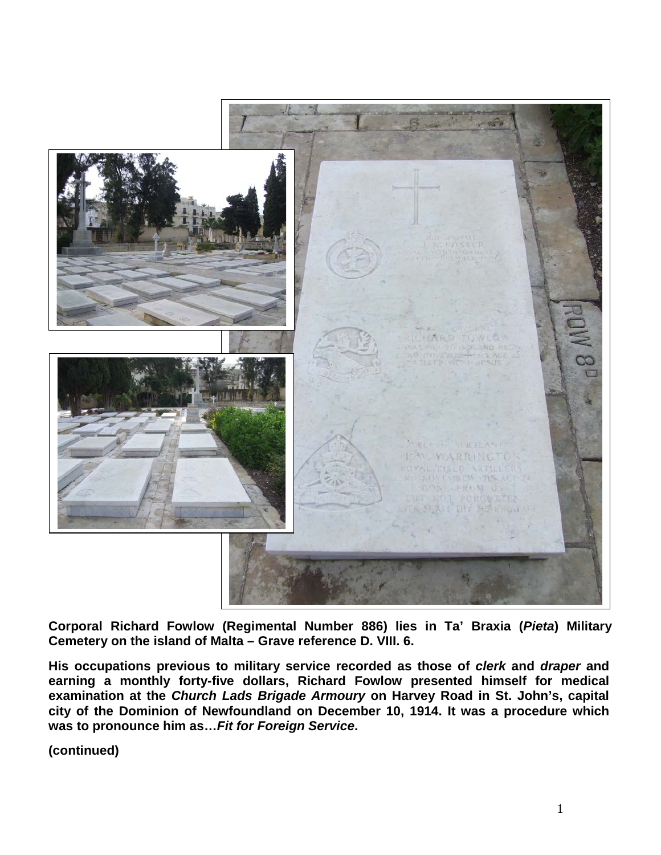

**Corporal Richard Fowlow (Regimental Number 886) lies in Ta' Braxia (***Pieta***) Military Cemetery on the island of Malta – Grave reference D. VIII. 6.** 

**His occupations previous to military service recorded as those of** *clerk* **and** *draper* **and earning a monthly forty-five dollars, Richard Fowlow presented himself for medical examination at the** *Church Lads Brigade Armoury* **on Harvey Road in St. John's, capital city of the Dominion of Newfoundland on December 10, 1914. It was a procedure which was to pronounce him as…***Fit for Foreign Service***.** 

**(continued)**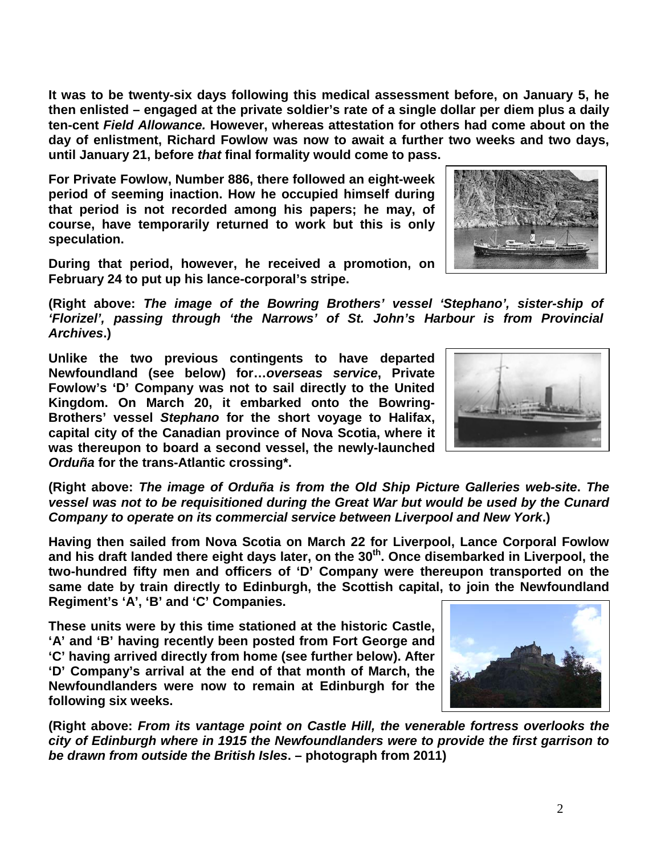2

**It was to be twenty-six days following this medical assessment before, on January 5, he then enlisted – engaged at the private soldier's rate of a single dollar per diem plus a daily ten-cent** *Field Allowance.* **However, whereas attestation for others had come about on the day of enlistment, Richard Fowlow was now to await a further two weeks and two days, until January 21, before** *that* **final formality would come to pass.**

**For Private Fowlow, Number 886, there followed an eight-week period of seeming inaction. How he occupied himself during that period is not recorded among his papers; he may, of course, have temporarily returned to work but this is only speculation.**

**During that period, however, he received a promotion, on February 24 to put up his lance-corporal's stripe.**

**(Right above:** *The image of the Bowring Brothers' vessel 'Stephano', sister-ship of 'Florizel', passing through 'the Narrows' of St. John's Harbour is from Provincial Archives***.)** 

**Unlike the two previous contingents to have departed Newfoundland (see below) for…***overseas service***, Private Fowlow's 'D' Company was not to sail directly to the United Kingdom. On March 20, it embarked onto the Bowring-Brothers' vessel** *Stephano* **for the short voyage to Halifax, capital city of the Canadian province of Nova Scotia, where it was thereupon to board a second vessel, the newly-launched**  *Orduña* **for the trans-Atlantic crossing\*.**

**(Right above:** *The image of Orduña is from the Old Ship Picture Galleries web-site***.** *The vessel was not to be requisitioned during the Great War but would be used by the Cunard Company to operate on its commercial service between Liverpool and New York***.)**

**Having then sailed from Nova Scotia on March 22 for Liverpool, Lance Corporal Fowlow and his draft landed there eight days later, on the 30th. Once disembarked in Liverpool, the two-hundred fifty men and officers of 'D' Company were thereupon transported on the same date by train directly to Edinburgh, the Scottish capital, to join the Newfoundland Regiment's 'A', 'B' and 'C' Companies.** 

**These units were by this time stationed at the historic Castle, 'A' and 'B' having recently been posted from Fort George and 'C' having arrived directly from home (see further below). After 'D' Company's arrival at the end of that month of March, the Newfoundlanders were now to remain at Edinburgh for the following six weeks.** 

**(Right above:** *From its vantage point on Castle Hill, the venerable fortress overlooks the city of Edinburgh where in 1915 the Newfoundlanders were to provide the first garrison to be drawn from outside the British Isles***. – photograph from 2011)** 





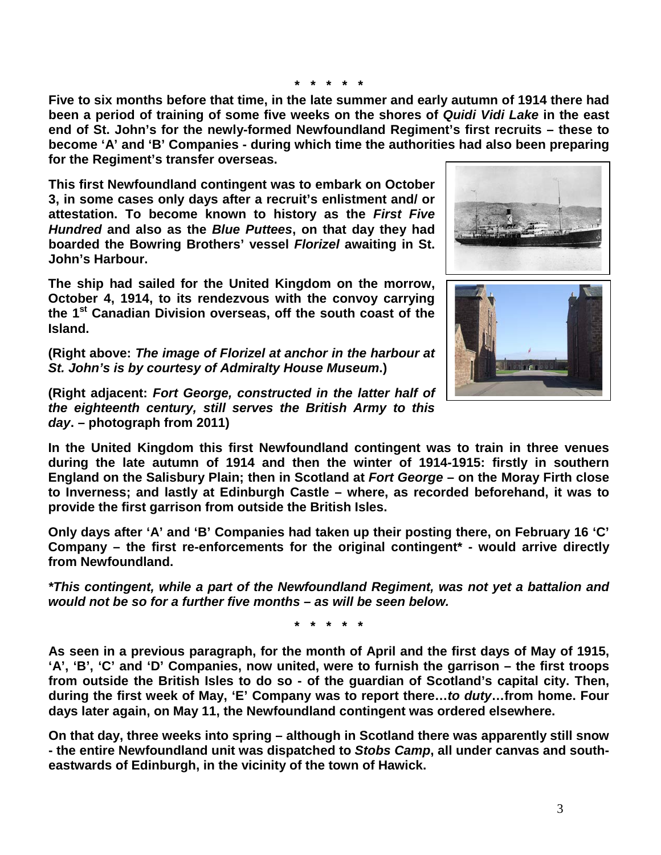**\* \* \* \* \***

**Five to six months before that time, in the late summer and early autumn of 1914 there had been a period of training of some five weeks on the shores of** *Quidi Vidi Lake* **in the east end of St. John's for the newly-formed Newfoundland Regiment's first recruits – these to become 'A' and 'B' Companies - during which time the authorities had also been preparing for the Regiment's transfer overseas.**

**This first Newfoundland contingent was to embark on October 3, in some cases only days after a recruit's enlistment and/ or attestation. To become known to history as the** *First Five Hundred* **and also as the** *Blue Puttees***, on that day they had boarded the Bowring Brothers' vessel** *Florizel* **awaiting in St. John's Harbour.**

**The ship had sailed for the United Kingdom on the morrow, October 4, 1914, to its rendezvous with the convoy carrying the 1st Canadian Division overseas, off the south coast of the Island.** 

**(Right above:** *The image of Florizel at anchor in the harbour at St. John's is by courtesy of Admiralty House Museum***.)**

**(Right adjacent:** *Fort George, constructed in the latter half of the eighteenth century, still serves the British Army to this day***. – photograph from 2011)**

**In the United Kingdom this first Newfoundland contingent was to train in three venues during the late autumn of 1914 and then the winter of 1914-1915: firstly in southern England on the Salisbury Plain; then in Scotland at** *Fort George* **– on the Moray Firth close to Inverness; and lastly at Edinburgh Castle – where, as recorded beforehand, it was to provide the first garrison from outside the British Isles.** 

**Only days after 'A' and 'B' Companies had taken up their posting there, on February 16 'C' Company – the first re-enforcements for the original contingent\* - would arrive directly from Newfoundland.**

*\*This contingent, while a part of the Newfoundland Regiment, was not yet a battalion and would not be so for a further five months – as will be seen below.*

**\* \* \* \* \***

**As seen in a previous paragraph, for the month of April and the first days of May of 1915, 'A', 'B', 'C' and 'D' Companies, now united, were to furnish the garrison – the first troops from outside the British Isles to do so - of the guardian of Scotland's capital city. Then, during the first week of May, 'E' Company was to report there…***to duty***…from home. Four days later again, on May 11, the Newfoundland contingent was ordered elsewhere.** 

**On that day, three weeks into spring – although in Scotland there was apparently still snow - the entire Newfoundland unit was dispatched to** *Stobs Camp***, all under canvas and southeastwards of Edinburgh, in the vicinity of the town of Hawick.**



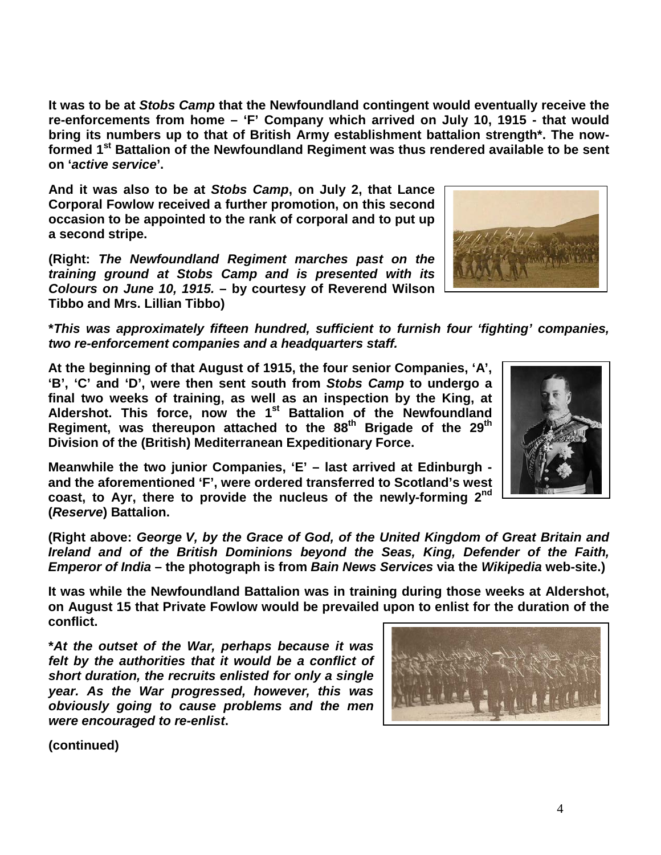4

**It was to be at** *Stobs Camp* **that the Newfoundland contingent would eventually receive the re-enforcements from home – 'F' Company which arrived on July 10, 1915 - that would bring its numbers up to that of British Army establishment battalion strength\*. The nowformed 1st Battalion of the Newfoundland Regiment was thus rendered available to be sent on '***active service***'.**

**And it was also to be at** *Stobs Camp***, on July 2, that Lance Corporal Fowlow received a further promotion, on this second occasion to be appointed to the rank of corporal and to put up a second stripe.**

**(Right:** *The Newfoundland Regiment marches past on the training ground at Stobs Camp and is presented with its Colours on June 10, 1915.* **– by courtesy of Reverend Wilson Tibbo and Mrs. Lillian Tibbo)**

**\****This was approximately fifteen hundred, sufficient to furnish four 'fighting' companies, two re-enforcement companies and a headquarters staff.*

**At the beginning of that August of 1915, the four senior Companies, 'A', 'B', 'C' and 'D', were then sent south from** *Stobs Camp* **to undergo a final two weeks of training, as well as an inspection by the King, at Aldershot. This force, now the 1st Battalion of the Newfoundland Regiment, was thereupon attached to the 88th Brigade of the 29th Division of the (British) Mediterranean Expeditionary Force.**

**Meanwhile the two junior Companies, 'E' – last arrived at Edinburgh and the aforementioned 'F', were ordered transferred to Scotland's west coast, to Ayr, there to provide the nucleus of the newly-forming 2nd (***Reserve***) Battalion.**

**(Right above:** *George V, by the Grace of God, of the United Kingdom of Great Britain and Ireland and of the British Dominions beyond the Seas, King, Defender of the Faith, Emperor of India* **– the photograph is from** *Bain News Services* **via the** *Wikipedia* **web-site.)**

**It was while the Newfoundland Battalion was in training during those weeks at Aldershot, on August 15 that Private Fowlow would be prevailed upon to enlist for the duration of the conflict.**

**\****At the outset of the War, perhaps because it was felt by the authorities that it would be a conflict of short duration, the recruits enlisted for only a single year. As the War progressed, however, this was obviously going to cause problems and the men were encouraged to re-enlist***.**

**(continued)**





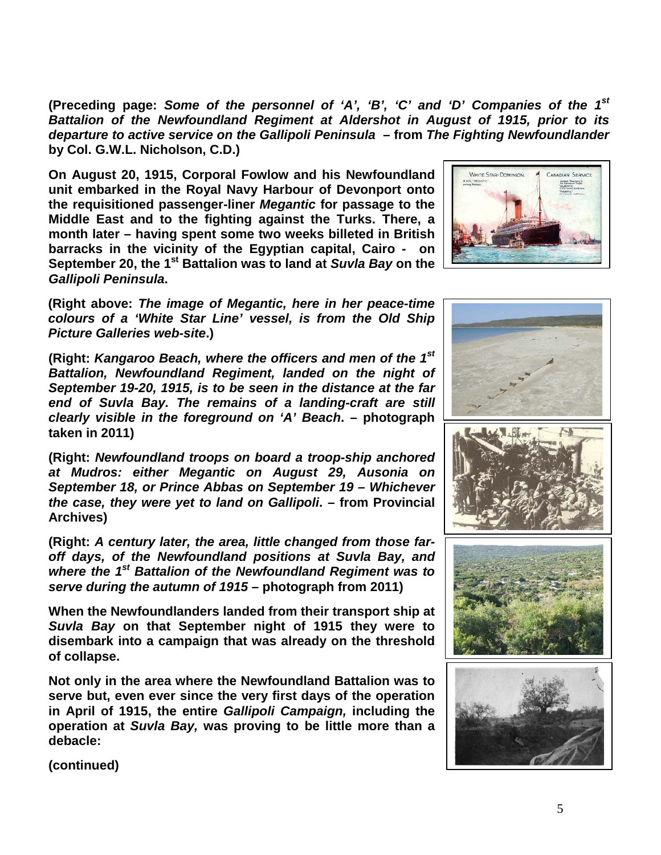**(Preceding page:** *Some of the personnel of 'A', 'B', 'C' and 'D' Companies of the 1st Battalion of the Newfoundland Regiment at Aldershot in August of 1915, prior to its departure to active service on the Gallipoli Peninsula* **– from** *The Fighting Newfoundlander*  **by Col. G.W.L. Nicholson, C.D.)**

**On August 20, 1915, Corporal Fowlow and his Newfoundland unit embarked in the Royal Navy Harbour of Devonport onto the requisitioned passenger-liner** *Megantic* **for passage to the Middle East and to the fighting against the Turks. There, a month later – having spent some two weeks billeted in British barracks in the vicinity of the Egyptian capital, Cairo - on September 20, the 1st Battalion was to land at** *Suvla Bay* **on the**  *Gallipoli Peninsula***.**



**(Right above:** *The image of Megantic, here in her peace-time colours of a 'White Star Line' vessel, is from the Old Ship Picture Galleries web-site***.)**

**(Right:** *Kangaroo Beach, where the officers and men of the 1st Battalion, Newfoundland Regiment, landed on the night of September 19-20, 1915, is to be seen in the distance at the far end of Suvla Bay. The remains of a landing-craft are still clearly visible in the foreground on 'A' Beach***. – photograph taken in 2011)**

**(Right:** *Newfoundland troops on board a troop-ship anchored at Mudros: either Megantic on August 29, Ausonia on September 18, or Prince Abbas on September 19 – Whichever the case, they were yet to land on Gallipoli***. – from Provincial Archives)**

**(Right:** *A century later, the area, little changed from those faroff days, of the Newfoundland positions at Suvla Bay, and where the 1st Battalion of the Newfoundland Regiment was to serve during the autumn of 1915* **– photograph from 2011)**

**When the Newfoundlanders landed from their transport ship at**  *Suvla Bay* **on that September night of 1915 they were to disembark into a campaign that was already on the threshold of collapse.**

**Not only in the area where the Newfoundland Battalion was to serve but, even ever since the very first days of the operation in April of 1915, the entire** *Gallipoli Campaign,* **including the operation at** *Suvla Bay,* **was proving to be little more than a debacle:**



**(continued)**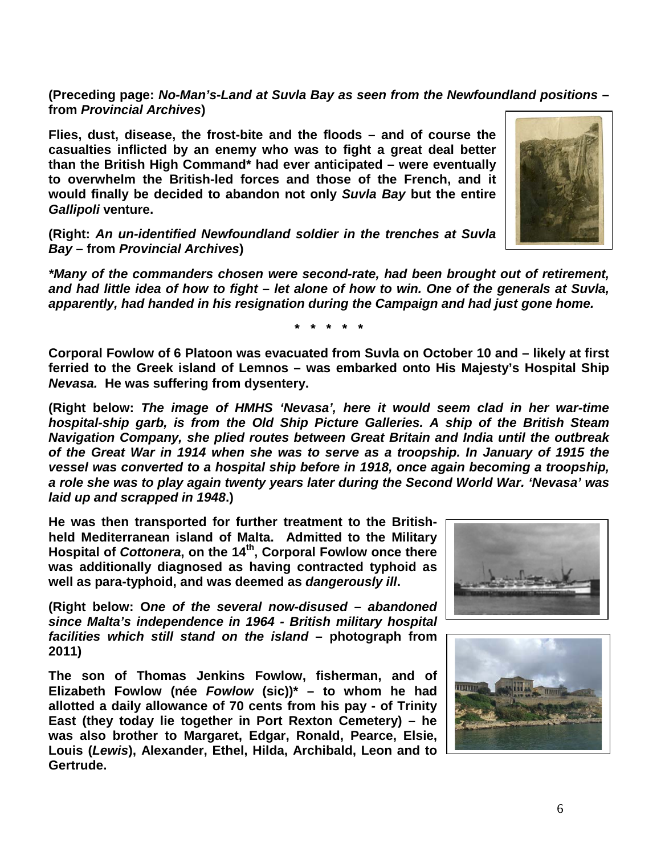**(Preceding page:** *No-Man's-Land at Suvla Bay as seen from the Newfoundland positions* **– from** *Provincial Archives***)**

**Flies, dust, disease, the frost-bite and the floods – and of course the casualties inflicted by an enemy who was to fight a great deal better than the British High Command\* had ever anticipated – were eventually to overwhelm the British-led forces and those of the French, and it would finally be decided to abandon not only** *Suvla Bay* **but the entire**  *Gallipoli* **venture.**

**(Right:** *An un-identified Newfoundland soldier in the trenches at Suvla Bay –* **from** *Provincial Archives***)**

*\*Many of the commanders chosen were second-rate, had been brought out of retirement, and had little idea of how to fight – let alone of how to win. One of the generals at Suvla, apparently, had handed in his resignation during the Campaign and had just gone home.*

**\* \* \* \* \***

**Corporal Fowlow of 6 Platoon was evacuated from Suvla on October 10 and – likely at first ferried to the Greek island of Lemnos – was embarked onto His Majesty's Hospital Ship**  *Nevasa.* **He was suffering from dysentery.** 

**(Right below:** *The image of HMHS 'Nevasa', here it would seem clad in her war-time hospital-ship garb, is from the Old Ship Picture Galleries. A ship of the British Steam Navigation Company, she plied routes between Great Britain and India until the outbreak of the Great War in 1914 when she was to serve as a troopship. In January of 1915 the vessel was converted to a hospital ship before in 1918, once again becoming a troopship, a role she was to play again twenty years later during the Second World War. 'Nevasa' was laid up and scrapped in 1948***.)** 

**He was then transported for further treatment to the Britishheld Mediterranean island of Malta. Admitted to the Military Hospital of** *Cottonera***, on the 14th, Corporal Fowlow once there was additionally diagnosed as having contracted typhoid as well as para-typhoid, and was deemed as** *dangerously ill***.**

**(Right below: O***ne of the several now-disused – abandoned since Malta's independence in 1964 - British military hospital facilities which still stand on the island* **– photograph from 2011)**

**The son of Thomas Jenkins Fowlow, fisherman, and of Elizabeth Fowlow (née** *Fowlow* **(sic))\* – to whom he had allotted a daily allowance of 70 cents from his pay - of Trinity East (they today lie together in Port Rexton Cemetery) – he was also brother to Margaret, Edgar, Ronald, Pearce, Elsie, Louis (***Lewis***), Alexander, Ethel, Hilda, Archibald, Leon and to Gertrude.**